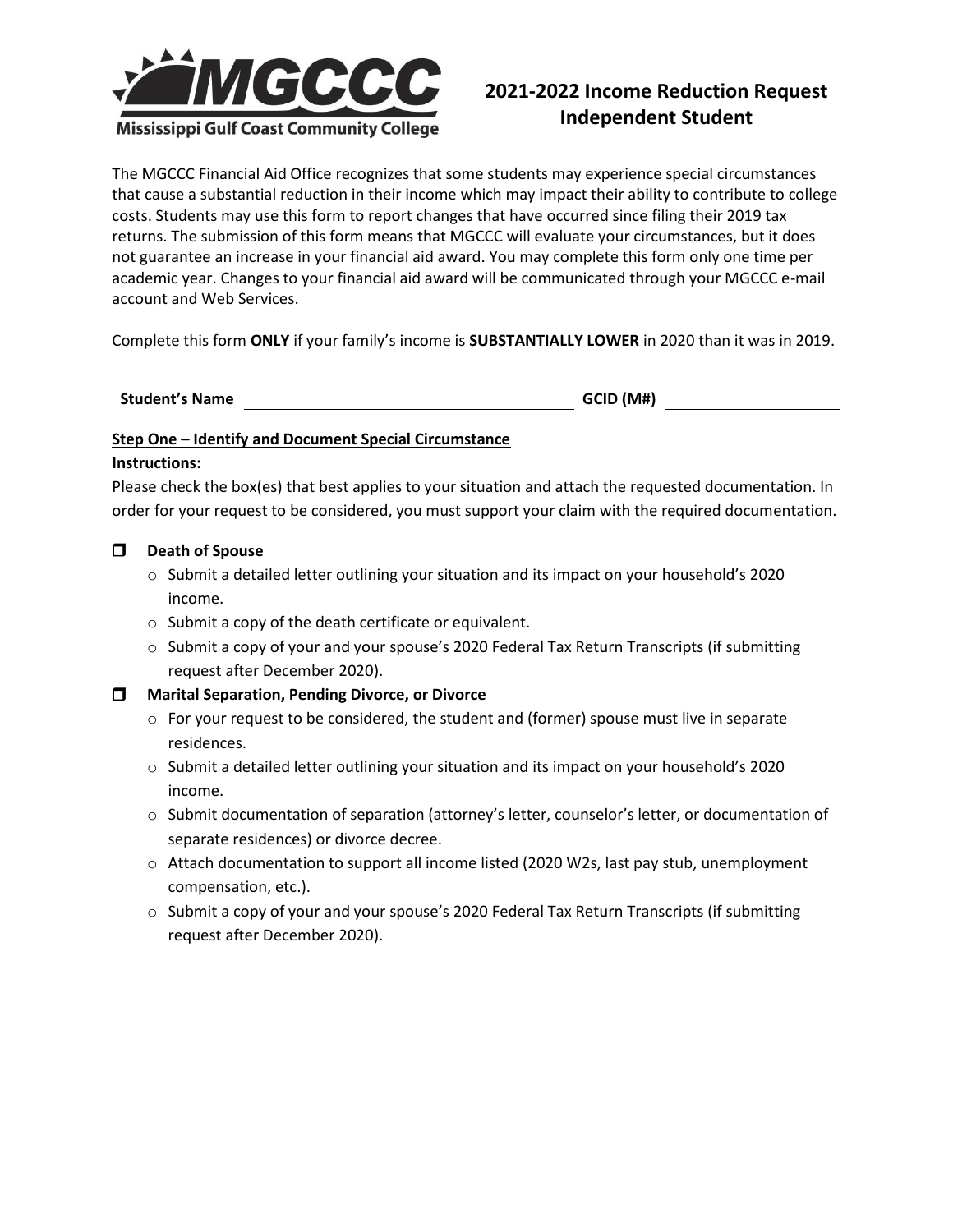

# **2021-2022 Income Reduction Request Independent Student**

The MGCCC Financial Aid Office recognizes that some students may experience special circumstances that cause a substantial reduction in their income which may impact their ability to contribute to college costs. Students may use this form to report changes that have occurred since filing their 2019 tax returns. The submission of this form means that MGCCC will evaluate your circumstances, but it does not guarantee an increase in your financial aid award. You may complete this form only one time per academic year. Changes to your financial aid award will be communicated through your MGCCC e-mail account and Web Services.

Complete this form **ONLY** if your family's income is **SUBSTANTIALLY LOWER** in 2020 than it was in 2019.

**Student's Name GCID (M#)**

# **Step One – Identify and Document Special Circumstance**

## **Instructions:**

Please check the box(es) that best applies to your situation and attach the requested documentation. In order for your request to be considered, you must support your claim with the required documentation.

# **Death of Spouse**

- $\circ$  Submit a detailed letter outlining your situation and its impact on your household's 2020 income.
- o Submit a copy of the death certificate or equivalent.
- $\circ$  Submit a copy of your and your spouse's 2020 Federal Tax Return Transcripts (if submitting request after December 2020).

# **Marital Separation, Pending Divorce, or Divorce**

- $\circ$  For your request to be considered, the student and (former) spouse must live in separate residences.
- $\circ$  Submit a detailed letter outlining your situation and its impact on your household's 2020 income.
- o Submit documentation of separation (attorney's letter, counselor's letter, or documentation of separate residences) or divorce decree.
- o Attach documentation to support all income listed (2020 W2s, last pay stub, unemployment compensation, etc.).
- o Submit a copy of your and your spouse's 2020 Federal Tax Return Transcripts (if submitting request after December 2020).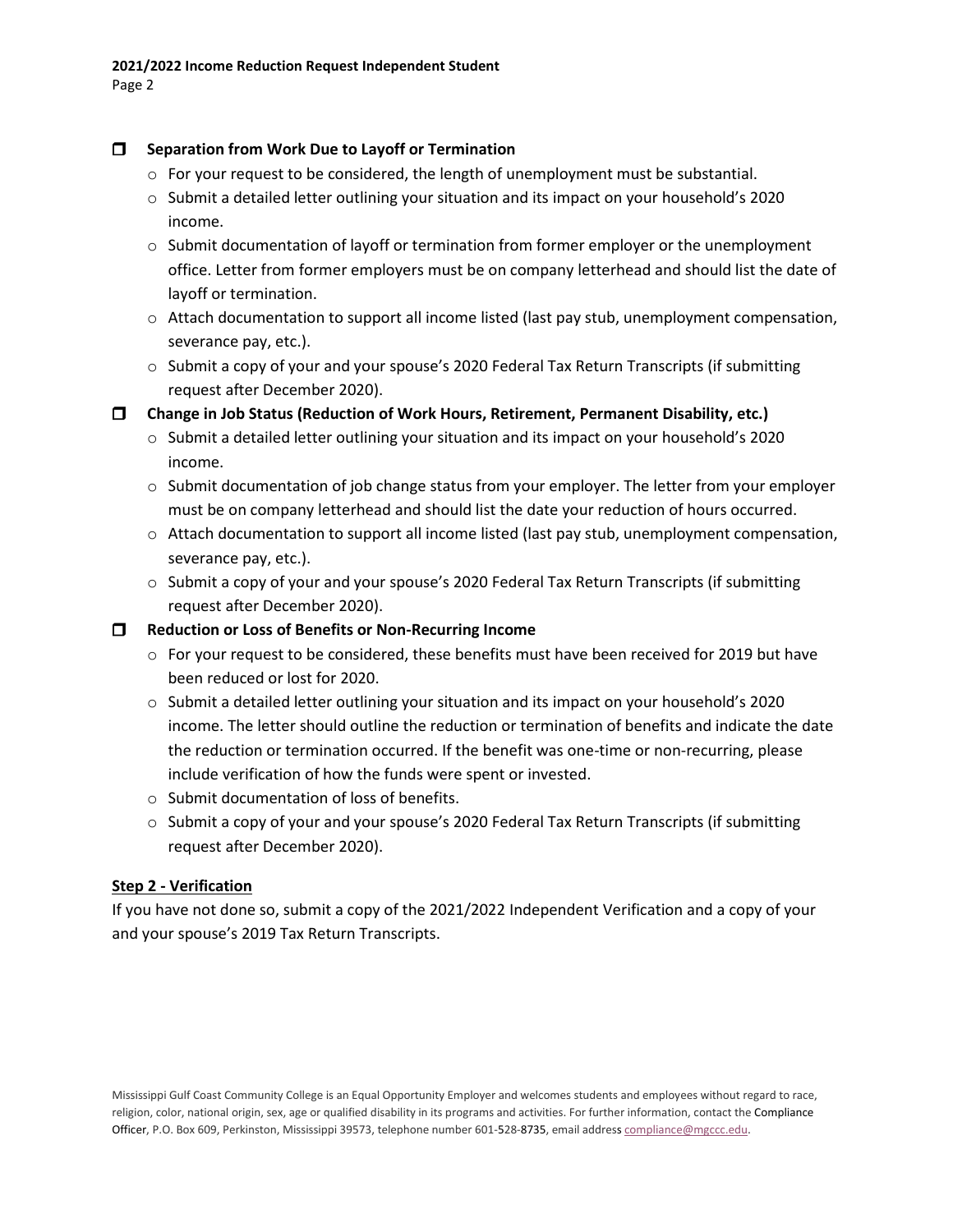## **Separation from Work Due to Layoff or Termination**

- $\circ$  For your request to be considered, the length of unemployment must be substantial.
- o Submit a detailed letter outlining your situation and its impact on your household's 2020 income.
- $\circ$  Submit documentation of layoff or termination from former employer or the unemployment office. Letter from former employers must be on company letterhead and should list the date of layoff or termination.
- $\circ$  Attach documentation to support all income listed (last pay stub, unemployment compensation, severance pay, etc.).
- $\circ$  Submit a copy of your and your spouse's 2020 Federal Tax Return Transcripts (if submitting request after December 2020).

**Change in Job Status (Reduction of Work Hours, Retirement, Permanent Disability, etc.)**

- o Submit a detailed letter outlining your situation and its impact on your household's 2020 income.
- $\circ$  Submit documentation of job change status from your employer. The letter from your employer must be on company letterhead and should list the date your reduction of hours occurred.
- $\circ$  Attach documentation to support all income listed (last pay stub, unemployment compensation, severance pay, etc.).
- o Submit a copy of your and your spouse's 2020 Federal Tax Return Transcripts (if submitting request after December 2020).

## **Reduction or Loss of Benefits or Non-Recurring Income**

- $\circ$  For your request to be considered, these benefits must have been received for 2019 but have been reduced or lost for 2020.
- o Submit a detailed letter outlining your situation and its impact on your household's 2020 income. The letter should outline the reduction or termination of benefits and indicate the date the reduction or termination occurred. If the benefit was one-time or non-recurring, please include verification of how the funds were spent or invested.
- o Submit documentation of loss of benefits.
- $\circ$  Submit a copy of your and your spouse's 2020 Federal Tax Return Transcripts (if submitting request after December 2020).

# **Step 2 - Verification**

If you have not done so, submit a copy of the 2021/2022 Independent Verification and a copy of your and your spouse's 2019 Tax Return Transcripts.